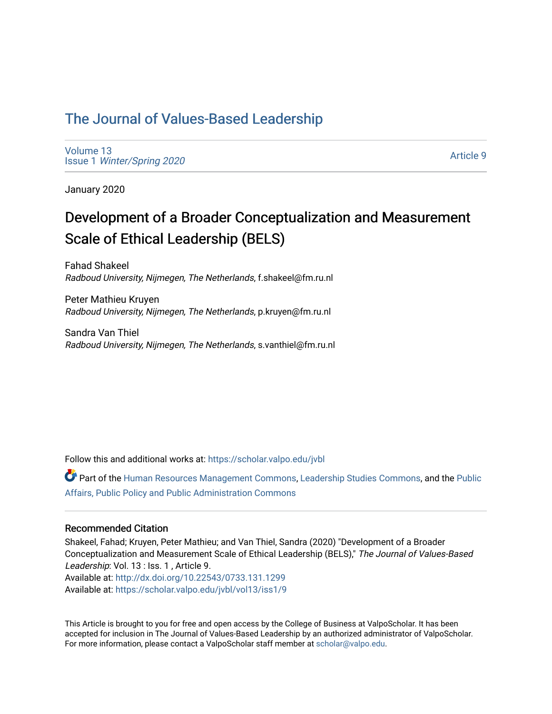# [The Journal of Values-Based Leadership](https://scholar.valpo.edu/jvbl)

[Volume 13](https://scholar.valpo.edu/jvbl/vol13) Issue 1 [Winter/Spring 2020](https://scholar.valpo.edu/jvbl/vol13/iss1) 

[Article 9](https://scholar.valpo.edu/jvbl/vol13/iss1/9) 

January 2020

# Development of a Broader Conceptualization and Measurement Scale of Ethical Leadership (BELS)

Fahad Shakeel Radboud University, Nijmegen, The Netherlands, f.shakeel@fm.ru.nl

Peter Mathieu Kruyen Radboud University, Nijmegen, The Netherlands, p.kruyen@fm.ru.nl

Sandra Van Thiel Radboud University, Nijmegen, The Netherlands, s.vanthiel@fm.ru.nl

Follow this and additional works at: [https://scholar.valpo.edu/jvbl](https://scholar.valpo.edu/jvbl?utm_source=scholar.valpo.edu%2Fjvbl%2Fvol13%2Fiss1%2F9&utm_medium=PDF&utm_campaign=PDFCoverPages) 

Part of the [Human Resources Management Commons,](http://network.bepress.com/hgg/discipline/633?utm_source=scholar.valpo.edu%2Fjvbl%2Fvol13%2Fiss1%2F9&utm_medium=PDF&utm_campaign=PDFCoverPages) [Leadership Studies Commons,](http://network.bepress.com/hgg/discipline/1250?utm_source=scholar.valpo.edu%2Fjvbl%2Fvol13%2Fiss1%2F9&utm_medium=PDF&utm_campaign=PDFCoverPages) and the [Public](http://network.bepress.com/hgg/discipline/393?utm_source=scholar.valpo.edu%2Fjvbl%2Fvol13%2Fiss1%2F9&utm_medium=PDF&utm_campaign=PDFCoverPages) [Affairs, Public Policy and Public Administration Commons](http://network.bepress.com/hgg/discipline/393?utm_source=scholar.valpo.edu%2Fjvbl%2Fvol13%2Fiss1%2F9&utm_medium=PDF&utm_campaign=PDFCoverPages)

#### Recommended Citation

Shakeel, Fahad; Kruyen, Peter Mathieu; and Van Thiel, Sandra (2020) "Development of a Broader Conceptualization and Measurement Scale of Ethical Leadership (BELS)," The Journal of Values-Based Leadership: Vol. 13 : Iss. 1 , Article 9. Available at:<http://dx.doi.org/10.22543/0733.131.1299> Available at: [https://scholar.valpo.edu/jvbl/vol13/iss1/9](https://scholar.valpo.edu/jvbl/vol13/iss1/9?utm_source=scholar.valpo.edu%2Fjvbl%2Fvol13%2Fiss1%2F9&utm_medium=PDF&utm_campaign=PDFCoverPages)

This Article is brought to you for free and open access by the College of Business at ValpoScholar. It has been accepted for inclusion in The Journal of Values-Based Leadership by an authorized administrator of ValpoScholar. For more information, please contact a ValpoScholar staff member at [scholar@valpo.edu](mailto:scholar@valpo.edu).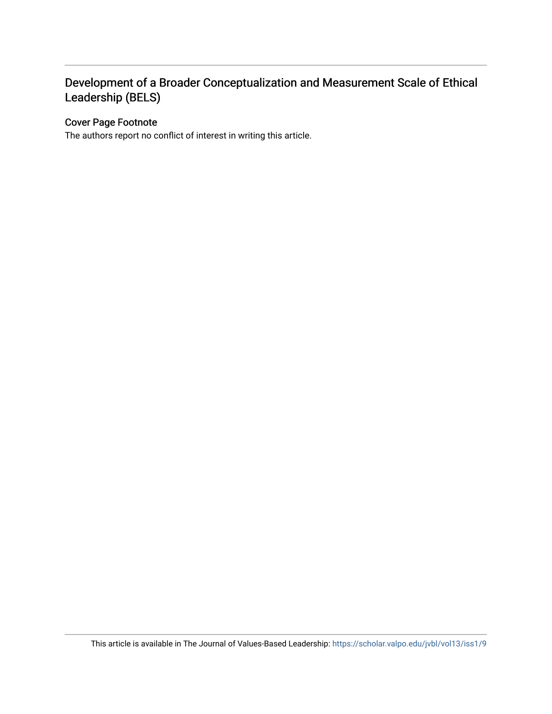# Development of a Broader Conceptualization and Measurement Scale of Ethical Leadership (BELS)

# Cover Page Footnote

The authors report no conflict of interest in writing this article.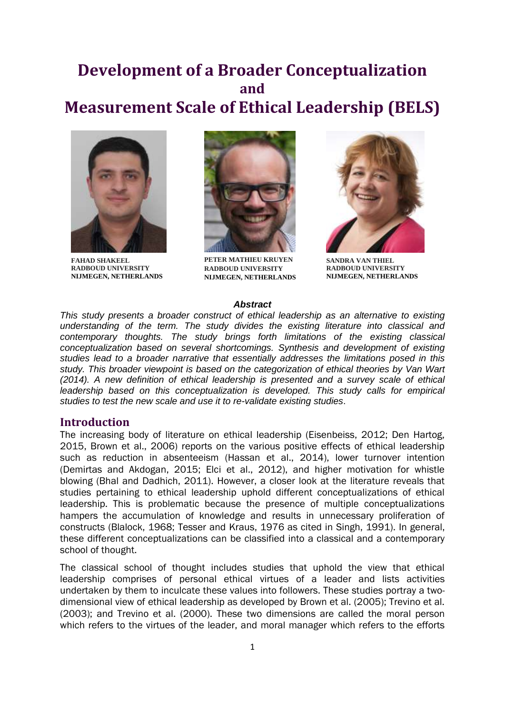# **Development of a Broader Conceptualization and Measurement Scale of Ethical Leadership (BELS)**



**FAHAD SHAKEEL RADBOUD UNIVERSITY NIJMEGEN, NETHERLANDS**



**PETER MATHIEU KRUYEN RADBOUD UNIVERSITY NIJMEGEN, NETHERLANDS**



**SANDRA VAN THIEL RADBOUD UNIVERSITY NIJMEGEN, NETHERLANDS** 

#### *Abstract*

*This study presents a broader construct of ethical leadership as an alternative to existing understanding of the term. The study divides the existing literature into classical and contemporary thoughts. The study brings forth limitations of the existing classical conceptualization based on several shortcomings. Synthesis and development of existing studies lead to a broader narrative that essentially addresses the limitations posed in this study. This broader viewpoint is based on the categorization of ethical theories by Van Wart (2014). A new definition of ethical leadership is presented and a survey scale of ethical*  leadership based on this conceptualization is developed. This study calls for empirical *studies to test the new scale and use it to re-validate existing studies*.

### **Introduction**

The increasing body of literature on ethical leadership (Eisenbeiss, 2012; Den Hartog, 2015, Brown et al., 2006) reports on the various positive effects of ethical leadership such as reduction in absenteeism (Hassan et al., 2014), lower turnover intention (Demirtas and Akdogan, 2015; Elci et al., 2012), and higher motivation for whistle blowing (Bhal and Dadhich, 2011). However, a closer look at the literature reveals that studies pertaining to ethical leadership uphold different conceptualizations of ethical leadership. This is problematic because the presence of multiple conceptualizations hampers the accumulation of knowledge and results in unnecessary proliferation of constructs (Blalock, 1968; Tesser and Kraus, 1976 as cited in Singh, 1991). In general, these different conceptualizations can be classified into a classical and a contemporary school of thought.

The classical school of thought includes studies that uphold the view that ethical leadership comprises of personal ethical virtues of a leader and lists activities undertaken by them to inculcate these values into followers. These studies portray a twodimensional view of ethical leadership as developed by Brown et al. (2005); Trevino et al. (2003); and Trevino et al. (2000). These two dimensions are called the moral person which refers to the virtues of the leader, and moral manager which refers to the efforts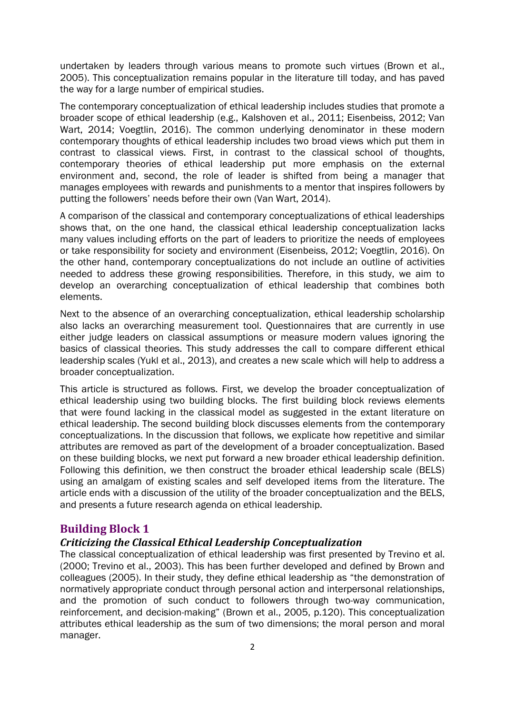undertaken by leaders through various means to promote such virtues (Brown et al., 2005). This conceptualization remains popular in the literature till today, and has paved the way for a large number of empirical studies.

The contemporary conceptualization of ethical leadership includes studies that promote a broader scope of ethical leadership (e.g., Kalshoven et al., 2011; Eisenbeiss, 2012; Van Wart, 2014; Voegtlin, 2016). The common underlying denominator in these modern contemporary thoughts of ethical leadership includes two broad views which put them in contrast to classical views. First, in contrast to the classical school of thoughts, contemporary theories of ethical leadership put more emphasis on the external environment and, second, the role of leader is shifted from being a manager that manages employees with rewards and punishments to a mentor that inspires followers by putting the followers' needs before their own (Van Wart, 2014).

A comparison of the classical and contemporary conceptualizations of ethical leaderships shows that, on the one hand, the classical ethical leadership conceptualization lacks many values including efforts on the part of leaders to prioritize the needs of employees or take responsibility for society and environment (Eisenbeiss, 2012; Voegtlin, 2016). On the other hand, contemporary conceptualizations do not include an outline of activities needed to address these growing responsibilities. Therefore, in this study, we aim to develop an overarching conceptualization of ethical leadership that combines both elements.

Next to the absence of an overarching conceptualization, ethical leadership scholarship also lacks an overarching measurement tool. Questionnaires that are currently in use either judge leaders on classical assumptions or measure modern values ignoring the basics of classical theories. This study addresses the call to compare different ethical leadership scales (Yukl et al., 2013), and creates a new scale which will help to address a broader conceptualization.

This article is structured as follows. First, we develop the broader conceptualization of ethical leadership using two building blocks. The first building block reviews elements that were found lacking in the classical model as suggested in the extant literature on ethical leadership. The second building block discusses elements from the contemporary conceptualizations. In the discussion that follows, we explicate how repetitive and similar attributes are removed as part of the development of a broader conceptualization. Based on these building blocks, we next put forward a new broader ethical leadership definition. Following this definition, we then construct the broader ethical leadership scale (BELS) using an amalgam of existing scales and self developed items from the literature. The article ends with a discussion of the utility of the broader conceptualization and the BELS, and presents a future research agenda on ethical leadership.

# **Building Block 1**

#### *Criticizing the Classical Ethical Leadership Conceptualization*

The classical conceptualization of ethical leadership was first presented by Trevino et al. (2000; Trevino et al., 2003). This has been further developed and defined by Brown and colleagues (2005). In their study, they define ethical leadership as "the demonstration of normatively appropriate conduct through personal action and interpersonal relationships, and the promotion of such conduct to followers through two-way communication, reinforcement, and decision-making" (Brown et al., 2005, p.120). This conceptualization attributes ethical leadership as the sum of two dimensions; the moral person and moral manager.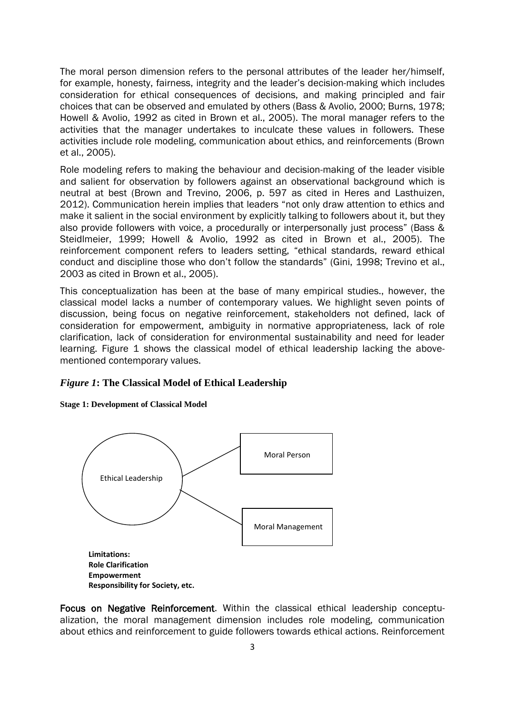The moral person dimension refers to the personal attributes of the leader her/himself, for example, honesty, fairness, integrity and the leader's decision-making which includes consideration for ethical consequences of decisions, and making principled and fair choices that can be observed and emulated by others (Bass & Avolio, 2000; Burns, 1978; Howell & Avolio, 1992 as cited in Brown et al., 2005). The moral manager refers to the activities that the manager undertakes to inculcate these values in followers. These activities include role modeling, communication about ethics, and reinforcements (Brown et al., 2005).

Role modeling refers to making the behaviour and decision-making of the leader visible and salient for observation by followers against an observational background which is neutral at best (Brown and Trevino, 2006, p. 597 as cited in Heres and Lasthuizen, 2012). Communication herein implies that leaders "not only draw attention to ethics and make it salient in the social environment by explicitly talking to followers about it, but they also provide followers with voice, a procedurally or interpersonally just process" (Bass & Steidlmeier, 1999; Howell & Avolio, 1992 as cited in Brown et al., 2005). The reinforcement component refers to leaders setting, "ethical standards, reward ethical conduct and discipline those who don't follow the standards" (Gini, 1998; Trevino et al., 2003 as cited in Brown et al., 2005).

This conceptualization has been at the base of many empirical studies., however, the classical model lacks a number of contemporary values. We highlight seven points of discussion, being focus on negative reinforcement, stakeholders not defined, lack of consideration for empowerment, ambiguity in normative appropriateness, lack of role clarification, lack of consideration for environmental sustainability and need for leader learning. Figure 1 shows the classical model of ethical leadership lacking the abovementioned contemporary values.

#### *Figure 1***: The Classical Model of Ethical Leadership**

#### **Stage 1: Development of Classical Model**



Focus on Negative Reinforcement. Within the classical ethical leadership conceptualization, the moral management dimension includes role modeling, communication about ethics and reinforcement to guide followers towards ethical actions. Reinforcement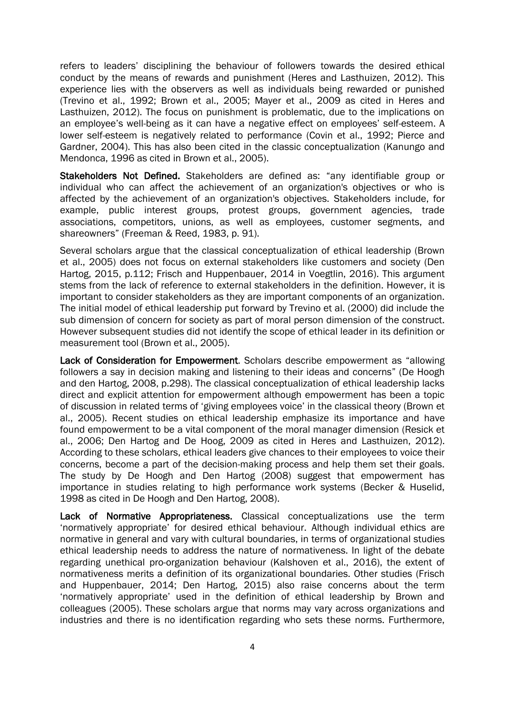refers to leaders' disciplining the behaviour of followers towards the desired ethical conduct by the means of rewards and punishment (Heres and Lasthuizen, 2012). This experience lies with the observers as well as individuals being rewarded or punished (Trevino et al., 1992; Brown et al., 2005; Mayer et al., 2009 as cited in Heres and Lasthuizen, 2012). The focus on punishment is problematic, due to the implications on an employee's well-being as it can have a negative effect on employees' self-esteem. A lower self-esteem is negatively related to performance (Covin et al., 1992; Pierce and Gardner, 2004). This has also been cited in the classic conceptualization (Kanungo and Mendonca, 1996 as cited in Brown et al., 2005).

Stakeholders Not Defined. Stakeholders are defined as: "any identifiable group or individual who can affect the achievement of an organization's objectives or who is affected by the achievement of an organization's objectives. Stakeholders include, for example, public interest groups, protest groups, government agencies, trade associations, competitors, unions, as well as employees, customer segments, and shareowners" (Freeman & Reed, 1983, p. 91).

Several scholars argue that the classical conceptualization of ethical leadership (Brown et al., 2005) does not focus on external stakeholders like customers and society (Den Hartog, 2015, p.112; Frisch and Huppenbauer, 2014 in Voegtlin, 2016). This argument stems from the lack of reference to external stakeholders in the definition. However, it is important to consider stakeholders as they are important components of an organization. The initial model of ethical leadership put forward by Trevino et al. (2000) did include the sub dimension of concern for society as part of moral person dimension of the construct. However subsequent studies did not identify the scope of ethical leader in its definition or measurement tool (Brown et al., 2005).

Lack of Consideration for Empowerment. Scholars describe empowerment as "allowing followers a say in decision making and listening to their ideas and concerns" (De Hoogh and den Hartog, 2008, p.298). The classical conceptualization of ethical leadership lacks direct and explicit attention for empowerment although empowerment has been a topic of discussion in related terms of 'giving employees voice' in the classical theory (Brown et al., 2005). Recent studies on ethical leadership emphasize its importance and have found empowerment to be a vital component of the moral manager dimension (Resick et al., 2006; Den Hartog and De Hoog, 2009 as cited in Heres and Lasthuizen, 2012). According to these scholars, ethical leaders give chances to their employees to voice their concerns, become a part of the decision-making process and help them set their goals. The study by De Hoogh and Den Hartog (2008) suggest that empowerment has importance in studies relating to high performance work systems (Becker & Huselid, 1998 as cited in De Hoogh and Den Hartog, 2008).

Lack of Normative Appropriateness. Classical conceptualizations use the term 'normatively appropriate' for desired ethical behaviour. Although individual ethics are normative in general and vary with cultural boundaries, in terms of organizational studies ethical leadership needs to address the nature of normativeness. In light of the debate regarding unethical pro-organization behaviour (Kalshoven et al., 2016), the extent of normativeness merits a definition of its organizational boundaries. Other studies (Frisch and Huppenbauer, 2014; Den Hartog, 2015) also raise concerns about the term 'normatively appropriate' used in the definition of ethical leadership by Brown and colleagues (2005). These scholars argue that norms may vary across organizations and industries and there is no identification regarding who sets these norms. Furthermore,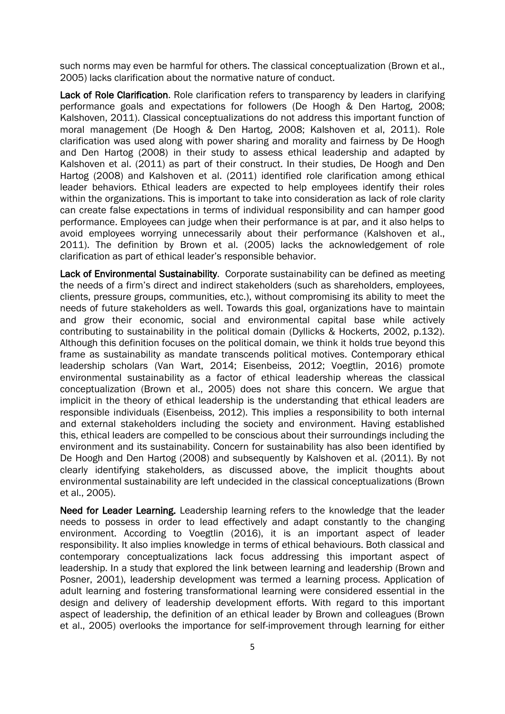such norms may even be harmful for others. The classical conceptualization (Brown et al., 2005) lacks clarification about the normative nature of conduct.

Lack of Role Clarification. Role clarification refers to transparency by leaders in clarifying performance goals and expectations for followers (De Hoogh & Den Hartog, 2008; Kalshoven, 2011). Classical conceptualizations do not address this important function of moral management (De Hoogh & Den Hartog, 2008; Kalshoven et al, 2011). Role clarification was used along with power sharing and morality and fairness by De Hoogh and Den Hartog (2008) in their study to assess ethical leadership and adapted by Kalshoven et al. (2011) as part of their construct. In their studies, De Hoogh and Den Hartog (2008) and Kalshoven et al. (2011) identified role clarification among ethical leader behaviors. Ethical leaders are expected to help employees identify their roles within the organizations. This is important to take into consideration as lack of role clarity can create false expectations in terms of individual responsibility and can hamper good performance. Employees can judge when their performance is at par, and it also helps to avoid employees worrying unnecessarily about their performance (Kalshoven et al., 2011). The definition by Brown et al. (2005) lacks the acknowledgement of role clarification as part of ethical leader's responsible behavior.

Lack of Environmental Sustainability. Corporate sustainability can be defined as meeting the needs of a firm's direct and indirect stakeholders (such as shareholders, employees, clients, pressure groups, communities, etc.), without compromising its ability to meet the needs of future stakeholders as well. Towards this goal, organizations have to maintain and grow their economic, social and environmental capital base while actively contributing to sustainability in the political domain (Dyllicks & Hockerts, 2002, p.132). Although this definition focuses on the political domain, we think it holds true beyond this frame as sustainability as mandate transcends political motives. Contemporary ethical leadership scholars (Van Wart, 2014; Eisenbeiss, 2012; Voegtlin, 2016) promote environmental sustainability as a factor of ethical leadership whereas the classical conceptualization (Brown et al., 2005) does not share this concern. We argue that implicit in the theory of ethical leadership is the understanding that ethical leaders are responsible individuals (Eisenbeiss, 2012). This implies a responsibility to both internal and external stakeholders including the society and environment. Having established this, ethical leaders are compelled to be conscious about their surroundings including the environment and its sustainability. Concern for sustainability has also been identified by De Hoogh and Den Hartog (2008) and subsequently by Kalshoven et al. (2011). By not clearly identifying stakeholders, as discussed above, the implicit thoughts about environmental sustainability are left undecided in the classical conceptualizations (Brown et al., 2005).

Need for Leader Learning. Leadership learning refers to the knowledge that the leader needs to possess in order to lead effectively and adapt constantly to the changing environment. According to Voegtlin (2016), it is an important aspect of leader responsibility. It also implies knowledge in terms of ethical behaviours. Both classical and contemporary conceptualizations lack focus addressing this important aspect of leadership. In a study that explored the link between learning and leadership (Brown and Posner, 2001), leadership development was termed a learning process. Application of adult learning and fostering transformational learning were considered essential in the design and delivery of leadership development efforts. With regard to this important aspect of leadership, the definition of an ethical leader by Brown and colleagues (Brown et al., 2005) overlooks the importance for self-improvement through learning for either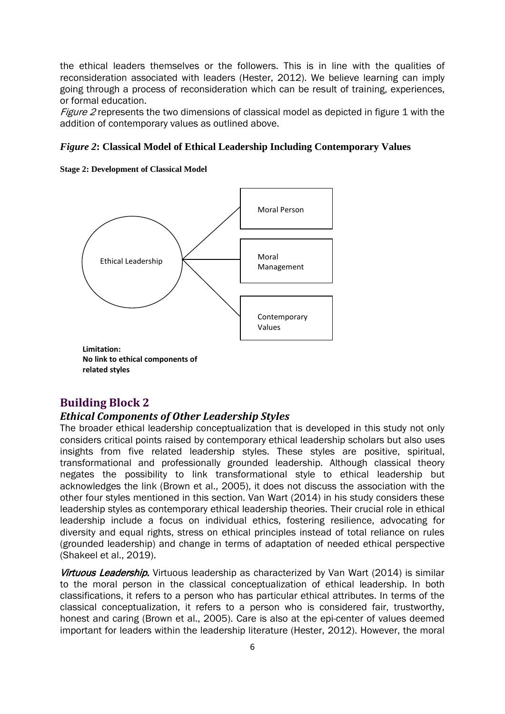the ethical leaders themselves or the followers. This is in line with the qualities of reconsideration associated with leaders (Hester, 2012). We believe learning can imply going through a process of reconsideration which can be result of training, experiences, or formal education.

Figure 2 represents the two dimensions of classical model as depicted in figure 1 with the addition of contemporary values as outlined above.

#### *Figure 2***: Classical Model of Ethical Leadership Including Contemporary Values**

#### **Stage 2: Development of Classical Model**



# **Building Block 2**

#### *Ethical Components of Other Leadership Styles*

The broader ethical leadership conceptualization that is developed in this study not only considers critical points raised by contemporary ethical leadership scholars but also uses insights from five related leadership styles. These styles are positive, spiritual, transformational and professionally grounded leadership. Although classical theory negates the possibility to link transformational style to ethical leadership but acknowledges the link (Brown et al., 2005), it does not discuss the association with the other four styles mentioned in this section. Van Wart (2014) in his study considers these leadership styles as contemporary ethical leadership theories. Their crucial role in ethical leadership include a focus on individual ethics, fostering resilience, advocating for diversity and equal rights, stress on ethical principles instead of total reliance on rules (grounded leadership) and change in terms of adaptation of needed ethical perspective (Shakeel et al., 2019).  $\overline{\phantom{0}}$ 

Virtuous Leadership. Virtuous leadership as characterized by Van Wart (2014) is similar to the moral person in the classical conceptualization of ethical leadership. In both classifications, it refers to a person who has particular ethical attributes. In terms of the classical conceptualization, it refers to a person who is considered fair, trustworthy, honest and caring (Brown et al., 2005). Care is also at the epi-center of values deemed important for leaders within the leadership literature (Hester, 2012). However, the moral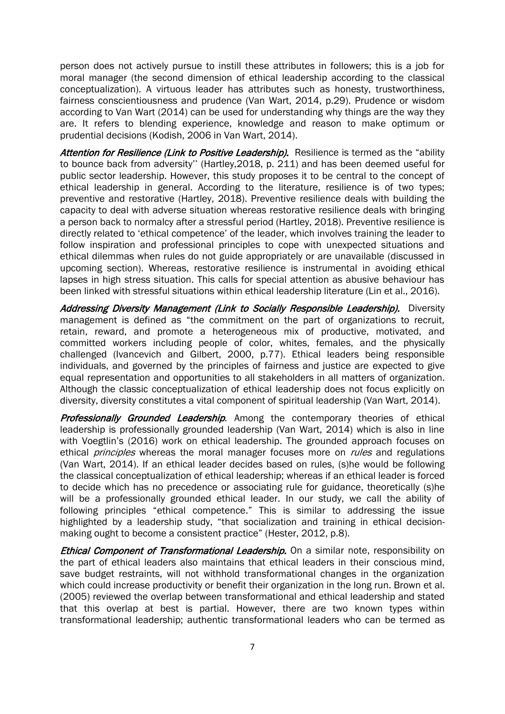person does not actively pursue to instill these attributes in followers; this is a job for moral manager (the second dimension of ethical leadership according to the classical conceptualization). A virtuous leader has attributes such as honesty, trustworthiness, fairness conscientiousness and prudence (Van Wart, 2014, p.29). Prudence or wisdom according to Van Wart (2014) can be used for understanding why things are the way they are. It refers to blending experience, knowledge and reason to make optimum or prudential decisions (Kodish, 2006 in Van Wart, 2014).

Attention for Resilience (Link to Positive Leadership). Resilience is termed as the "ability to bounce back from adversity'' (Hartley,2018, p. 211) and has been deemed useful for public sector leadership. However, this study proposes it to be central to the concept of ethical leadership in general. According to the literature, resilience is of two types; preventive and restorative (Hartley, 2018). Preventive resilience deals with building the capacity to deal with adverse situation whereas restorative resilience deals with bringing a person back to normalcy after a stressful period (Hartley, 2018). Preventive resilience is directly related to 'ethical competence' of the leader, which involves training the leader to follow inspiration and professional principles to cope with unexpected situations and ethical dilemmas when rules do not guide appropriately or are unavailable (discussed in upcoming section). Whereas, restorative resilience is instrumental in avoiding ethical lapses in high stress situation. This calls for special attention as abusive behaviour has been linked with stressful situations within ethical leadership literature (Lin et al., 2016).

Addressing Diversity Management (Link to Socially Responsible Leadership). Diversity management is defined as "the commitment on the part of organizations to recruit, retain, reward, and promote a heterogeneous mix of productive, motivated, and committed workers including people of color, whites, females, and the physically challenged (Ivancevich and Gilbert, 2000, p.77). Ethical leaders being responsible individuals, and governed by the principles of fairness and justice are expected to give equal representation and opportunities to all stakeholders in all matters of organization. Although the classic conceptualization of ethical leadership does not focus explicitly on diversity, diversity constitutes a vital component of spiritual leadership (Van Wart, 2014).

Professionally Grounded Leadership. Among the contemporary theories of ethical leadership is professionally grounded leadership (Van Wart, 2014) which is also in line with Voegtlin's (2016) work on ethical leadership. The grounded approach focuses on ethical *principles* whereas the moral manager focuses more on *rules* and regulations (Van Wart, 2014). If an ethical leader decides based on rules, (s)he would be following the classical conceptualization of ethical leadership; whereas if an ethical leader is forced to decide which has no precedence or associating rule for guidance, theoretically (s)he will be a professionally grounded ethical leader. In our study, we call the ability of following principles "ethical competence." This is similar to addressing the issue highlighted by a leadership study, "that socialization and training in ethical decisionmaking ought to become a consistent practice" (Hester, 2012, p.8).

**Ethical Component of Transformational Leadership.** On a similar note, responsibility on the part of ethical leaders also maintains that ethical leaders in their conscious mind, save budget restraints, will not withhold transformational changes in the organization which could increase productivity or benefit their organization in the long run. Brown et al. (2005) reviewed the overlap between transformational and ethical leadership and stated that this overlap at best is partial. However, there are two known types within transformational leadership; authentic transformational leaders who can be termed as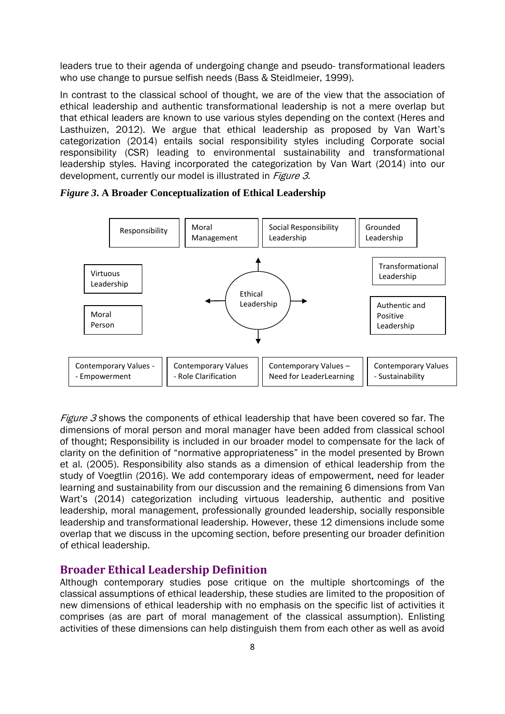leaders true to their agenda of undergoing change and pseudo- transformational leaders who use change to pursue selfish needs (Bass & Steidlmeier, 1999).

In contrast to the classical school of thought, we are of the view that the association of ethical leadership and authentic transformational leadership is not a mere overlap but that ethical leaders are known to use various styles depending on the context (Heres and Lasthuizen, 2012). We argue that ethical leadership as proposed by Van Wart's categorization (2014) entails social responsibility styles including Corporate social responsibility (CSR) leading to environmental sustainability and transformational leadership styles. Having incorporated the categorization by Van Wart (2014) into our development, currently our model is illustrated in *Figure 3*.



*Figure 3***. A Broader Conceptualization of Ethical Leadership**

Figure 3 shows the components of ethical leadership that have been covered so far. The dimensions of moral person and moral manager have been added from classical school of thought; Responsibility is included in our broader model to compensate for the lack of clarity on the definition of "normative appropriateness" in the model presented by Brown et al. (2005). Responsibility also stands as a dimension of ethical leadership from the study of Voegtlin (2016). We add contemporary ideas of empowerment, need for leader learning and sustainability from our discussion and the remaining 6 dimensions from Van Wart's (2014) categorization including virtuous leadership, authentic and positive leadership, moral management, professionally grounded leadership, socially responsible leadership and transformational leadership. However, these 12 dimensions include some overlap that we discuss in the upcoming section, before presenting our broader definition of ethical leadership.

# **Broader Ethical Leadership Definition**

Although contemporary studies pose critique on the multiple shortcomings of the classical assumptions of ethical leadership, these studies are limited to the proposition of new dimensions of ethical leadership with no emphasis on the specific list of activities it comprises (as are part of moral management of the classical assumption). Enlisting activities of these dimensions can help distinguish them from each other as well as avoid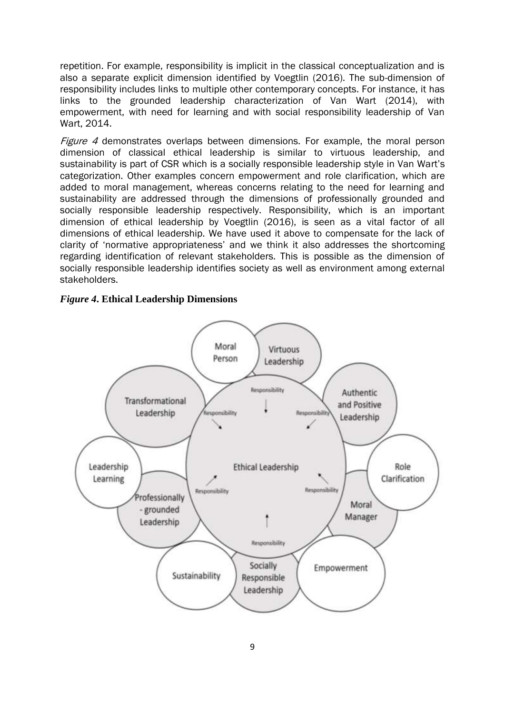repetition. For example, responsibility is implicit in the classical conceptualization and is also a separate explicit dimension identified by Voegtlin (2016). The sub-dimension of responsibility includes links to multiple other contemporary concepts. For instance, it has links to the grounded leadership characterization of Van Wart (2014), with empowerment, with need for learning and with social responsibility leadership of Van Wart, 2014.

Figure 4 demonstrates overlaps between dimensions. For example, the moral person dimension of classical ethical leadership is similar to virtuous leadership, and sustainability is part of CSR which is a socially responsible leadership style in Van Wart's categorization. Other examples concern empowerment and role clarification, which are added to moral management, whereas concerns relating to the need for learning and sustainability are addressed through the dimensions of professionally grounded and socially responsible leadership respectively. Responsibility, which is an important dimension of ethical leadership by Voegtlin (2016), is seen as a vital factor of all dimensions of ethical leadership. We have used it above to compensate for the lack of clarity of 'normative appropriateness' and we think it also addresses the shortcoming regarding identification of relevant stakeholders. This is possible as the dimension of socially responsible leadership identifies society as well as environment among external stakeholders.



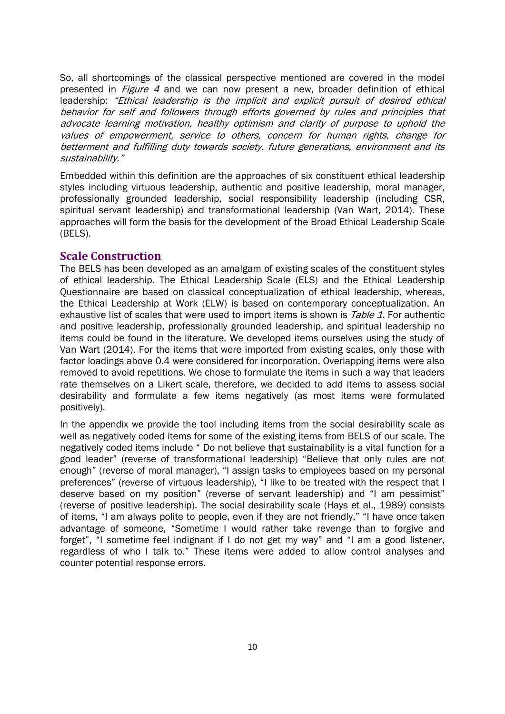So, all shortcomings of the classical perspective mentioned are covered in the model presented in *Figure 4* and we can now present a new, broader definition of ethical leadership: "Ethical leadership is the implicit and explicit pursuit of desired ethical behavior for self and followers through efforts governed by rules and principles that advocate learning motivation, healthy optimism and clarity of purpose to uphold the values of empowerment, service to others, concern for human rights, change for betterment and fulfilling duty towards society, future generations, environment and its sustainability."

Embedded within this definition are the approaches of six constituent ethical leadership styles including virtuous leadership, authentic and positive leadership, moral manager, professionally grounded leadership, social responsibility leadership (including CSR, spiritual servant leadership) and transformational leadership (Van Wart, 2014). These approaches will form the basis for the development of the Broad Ethical Leadership Scale (BELS).

# **Scale Construction**

The BELS has been developed as an amalgam of existing scales of the constituent styles of ethical leadership. The Ethical Leadership Scale (ELS) and the Ethical Leadership Questionnaire are based on classical conceptualization of ethical leadership, whereas, the Ethical Leadership at Work (ELW) is based on contemporary conceptualization. An exhaustive list of scales that were used to import items is shown is Table 1. For authentic and positive leadership, professionally grounded leadership, and spiritual leadership no items could be found in the literature. We developed items ourselves using the study of Van Wart (2014). For the items that were imported from existing scales, only those with factor loadings above 0.4 were considered for incorporation. Overlapping items were also removed to avoid repetitions. We chose to formulate the items in such a way that leaders rate themselves on a Likert scale, therefore, we decided to add items to assess social desirability and formulate a few items negatively (as most items were formulated positively).

In the appendix we provide the tool including items from the social desirability scale as well as negatively coded items for some of the existing items from BELS of our scale. The negatively coded items include " Do not believe that sustainability is a vital function for a good leader" (reverse of transformational leadership) "Believe that only rules are not enough" (reverse of moral manager), "I assign tasks to employees based on my personal preferences" (reverse of virtuous leadership), "I like to be treated with the respect that I deserve based on my position" (reverse of servant leadership) and "I am pessimist" (reverse of positive leadership). The social desirability scale (Hays et al., 1989) consists of items, "I am always polite to people, even if they are not friendly," "I have once taken advantage of someone, "Sometime I would rather take revenge than to forgive and forget", "I sometime feel indignant if I do not get my way" and "I am a good listener, regardless of who I talk to." These items were added to allow control analyses and counter potential response errors.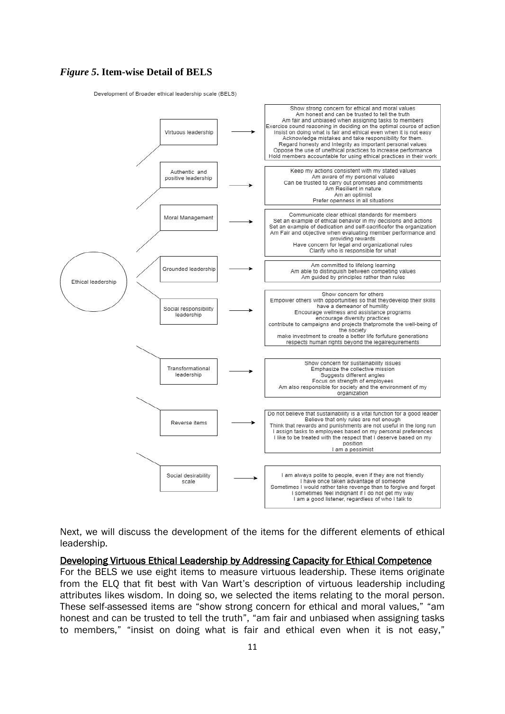#### *Figure 5***. Item-wise Detail of BELS**

Development of Broader ethical leadership scale (BELS)



Next, we will discuss the development of the items for the different elements of ethical leadership.

#### Developing Virtuous Ethical Leadership by Addressing Capacity for Ethical Competence

For the BELS we use eight items to measure virtuous leadership. These items originate from the ELQ that fit best with Van Wart's description of virtuous leadership including attributes likes wisdom. In doing so, we selected the items relating to the moral person. These self-assessed items are "show strong concern for ethical and moral values," "am honest and can be trusted to tell the truth", "am fair and unbiased when assigning tasks to members," "insist on doing what is fair and ethical even when it is not easy,"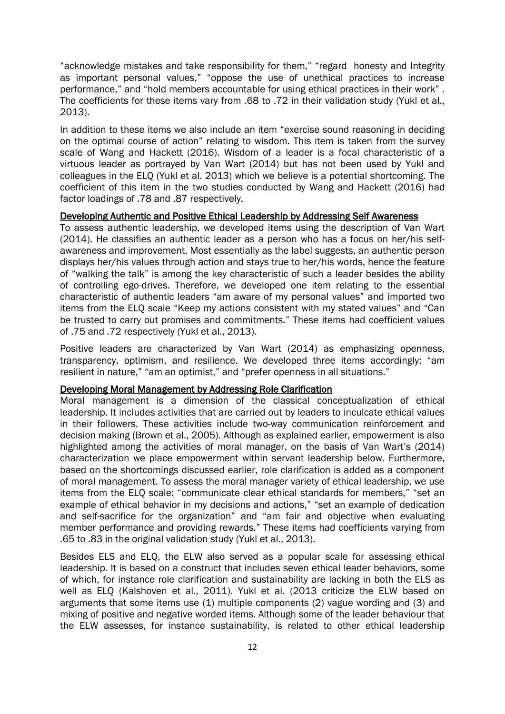"acknowledge mistakes and take responsibility for them," "regard honesty and Integrity as important personal values," "oppose the use of unethical practices to increase performance," and "hold members accountable for using ethical practices in their work" . The coefficients for these items vary from .68 to .72 in their validation study (Yukl et al., 2013).

In addition to these items we also include an item "exercise sound reasoning in deciding on the optimal course of action" relating to wisdom. This item is taken from the survey scale of Wang and Hackett (2016). Wisdom of a leader is a focal characteristic of a virtuous leader as portrayed by Van Wart (2014) but has not been used by Yukl and colleagues in the ELQ (Yukl et al. 2013) which we believe is a potential shortcoming. The coefficient of this item in the two studies conducted by Wang and Hackett (2016) had factor loadings of .78 and .87 respectively.

#### Developing Authentic and Positive Ethical Leadership by Addressing Self Awareness

To assess authentic leadership, we developed items using the description of Van Wart (2014). He classifies an authentic leader as a person who has a focus on her/his selfawareness and improvement. Most essentially as the label suggests, an authentic person displays her/his values through action and stays true to her/his words, hence the feature of "walking the talk" is among the key characteristic of such a leader besides the ability of controlling ego-drives. Therefore, we developed one item relating to the essential characteristic of authentic leaders "am aware of my personal values" and imported two items from the ELQ scale "Keep my actions consistent with my stated values" and "Can be trusted to carry out promises and commitments." These items had coefficient values of .75 and .72 respectively (Yukl et al., 2013).

Positive leaders are characterized by Van Wart (2014) as emphasizing openness, transparency, optimism, and resilience. We developed three items accordingly: "am resilient in nature," "am an optimist," and "prefer openness in all situations."

#### Developing Moral Management by Addressing Role Clarification

Moral management is a dimension of the classical conceptualization of ethical leadership. It includes activities that are carried out by leaders to inculcate ethical values in their followers. These activities include two-way communication reinforcement and decision making (Brown et al., 2005). Although as explained earlier, empowerment is also highlighted among the activities of moral manager, on the basis of Van Wart's (2014) characterization we place empowerment within servant leadership below. Furthermore, based on the shortcomings discussed earlier, role clarification is added as a component of moral management. To assess the moral manager variety of ethical leadership, we use items from the ELQ scale: "communicate clear ethical standards for members," "set an example of ethical behavior in my decisions and actions," "set an example of dedication and self-sacrifice for the organization" and "am fair and objective when evaluating member performance and providing rewards." These items had coefficients varying from .65 to .83 in the original validation study (Yukl et al., 2013).

Besides ELS and ELQ, the ELW also served as a popular scale for assessing ethical leadership. It is based on a construct that includes seven ethical leader behaviors, some of which, for instance role clarification and sustainability are lacking in both the ELS as well as ELQ (Kalshoven et al., 2011). Yukl et al. (2013 criticize the ELW based on arguments that some items use (1) multiple components (2) vague wording and (3) and mixing of positive and negative worded items. Although some of the leader behaviour that the ELW assesses, for instance sustainability, is related to other ethical leadership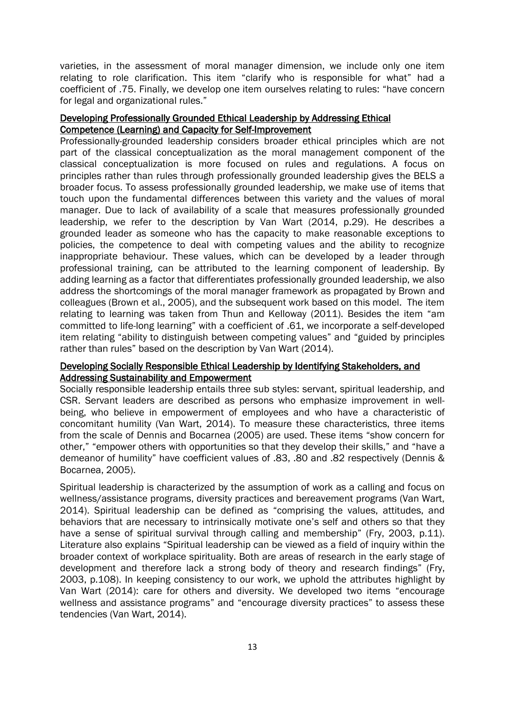varieties, in the assessment of moral manager dimension, we include only one item relating to role clarification. This item "clarify who is responsible for what" had a coefficient of .75. Finally, we develop one item ourselves relating to rules: "have concern for legal and organizational rules."

### Developing Professionally Grounded Ethical Leadership by Addressing Ethical Competence (Learning) and Capacity for Self-Improvement

Professionally-grounded leadership considers broader ethical principles which are not part of the classical conceptualization as the moral management component of the classical conceptualization is more focused on rules and regulations. A focus on principles rather than rules through professionally grounded leadership gives the BELS a broader focus. To assess professionally grounded leadership, we make use of items that touch upon the fundamental differences between this variety and the values of moral manager. Due to lack of availability of a scale that measures professionally grounded leadership, we refer to the description by Van Wart (2014, p.29). He describes a grounded leader as someone who has the capacity to make reasonable exceptions to policies, the competence to deal with competing values and the ability to recognize inappropriate behaviour. These values, which can be developed by a leader through professional training, can be attributed to the learning component of leadership. By adding learning as a factor that differentiates professionally grounded leadership, we also address the shortcomings of the moral manager framework as propagated by Brown and colleagues (Brown et al., 2005), and the subsequent work based on this model. The item relating to learning was taken from Thun and Kelloway (2011). Besides the item "am committed to life-long learning" with a coefficient of .61, we incorporate a self-developed item relating "ability to distinguish between competing values" and "guided by principles rather than rules" based on the description by Van Wart (2014).

#### Developing Socially Responsible Ethical Leadership by Identifying Stakeholders, and Addressing Sustainability and Empowerment

Socially responsible leadership entails three sub styles: servant, spiritual leadership, and CSR. Servant leaders are described as persons who emphasize improvement in wellbeing, who believe in empowerment of employees and who have a characteristic of concomitant humility (Van Wart, 2014). To measure these characteristics, three items from the scale of Dennis and Bocarnea (2005) are used. These items "show concern for other," "empower others with opportunities so that they develop their skills," and "have a demeanor of humility" have coefficient values of .83, .80 and .82 respectively (Dennis & Bocarnea, 2005).

Spiritual leadership is characterized by the assumption of work as a calling and focus on wellness/assistance programs, diversity practices and bereavement programs (Van Wart, 2014). Spiritual leadership can be defined as "comprising the values, attitudes, and behaviors that are necessary to intrinsically motivate one's self and others so that they have a sense of spiritual survival through calling and membership" (Fry, 2003, p.11). Literature also explains "Spiritual leadership can be viewed as a field of inquiry within the broader context of workplace spirituality. Both are areas of research in the early stage of development and therefore lack a strong body of theory and research findings" (Fry, 2003, p.108). In keeping consistency to our work, we uphold the attributes highlight by Van Wart (2014): care for others and diversity. We developed two items "encourage wellness and assistance programs" and "encourage diversity practices" to assess these tendencies (Van Wart, 2014).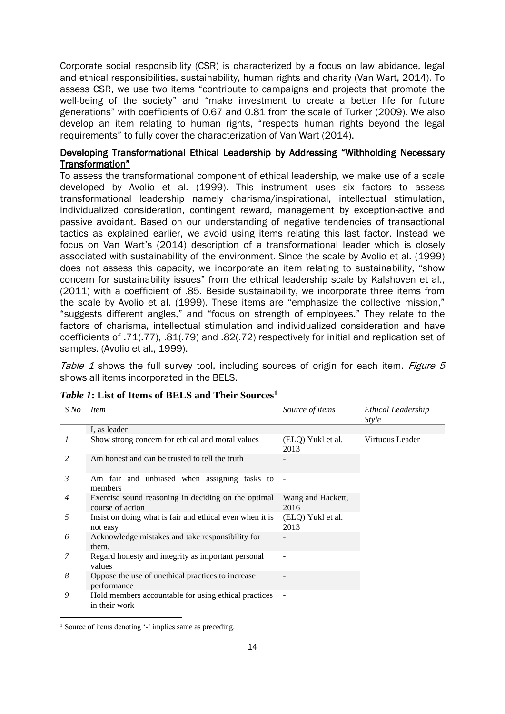Corporate social responsibility (CSR) is characterized by a focus on law abidance, legal and ethical responsibilities, sustainability, human rights and charity (Van Wart, 2014). To assess CSR, we use two items "contribute to campaigns and projects that promote the well-being of the society" and "make investment to create a better life for future generations" with coefficients of 0.67 and 0.81 from the scale of Turker (2009). We also develop an item relating to human rights, "respects human rights beyond the legal requirements" to fully cover the characterization of Van Wart (2014).

### Developing Transformational Ethical Leadership by Addressing "Withholding Necessary Transformation"

To assess the transformational component of ethical leadership, we make use of a scale developed by Avolio et al. (1999). This instrument uses six factors to assess transformational leadership namely charisma/inspirational, intellectual stimulation, individualized consideration, contingent reward, management by exception-active and passive avoidant. Based on our understanding of negative tendencies of transactional tactics as explained earlier, we avoid using items relating this last factor. Instead we focus on Van Wart's (2014) description of a transformational leader which is closely associated with sustainability of the environment. Since the scale by Avolio et al. (1999) does not assess this capacity, we incorporate an item relating to sustainability, "show concern for sustainability issues" from the ethical leadership scale by Kalshoven et al., (2011) with a coefficient of .85. Beside sustainability, we incorporate three items from the scale by Avolio et al. (1999). These items are "emphasize the collective mission," "suggests different angles," and "focus on strength of employees." They relate to the factors of charisma, intellectual stimulation and individualized consideration and have coefficients of .71(.77), .81(.79) and .82(.72) respectively for initial and replication set of samples. (Avolio et al., 1999).

Table 1 shows the full survey tool, including sources of origin for each item. Figure 5 shows all items incorporated in the BELS.

| S No           | <i>Item</i>                                                             | Source of items           | Ethical Leadership<br><i>Style</i> |
|----------------|-------------------------------------------------------------------------|---------------------------|------------------------------------|
|                | I, as leader                                                            |                           |                                    |
| 1              | Show strong concern for ethical and moral values                        | (ELQ) Yukl et al.<br>2013 | Virtuous Leader                    |
| 2              | Am honest and can be trusted to tell the truth                          |                           |                                    |
| $\mathfrak{Z}$ | Am fair and unbiased when assigning tasks to<br>members                 |                           |                                    |
| 4              | Exercise sound reasoning in deciding on the optimal<br>course of action | Wang and Hackett,<br>2016 |                                    |
| 5              | Insist on doing what is fair and ethical even when it is<br>not easy    | (ELQ) Yukl et al.<br>2013 |                                    |
| 6              | Acknowledge mistakes and take responsibility for<br>them.               |                           |                                    |
| 7              | Regard honesty and integrity as important personal<br>values            |                           |                                    |
| 8              | Oppose the use of unethical practices to increase<br>performance        |                           |                                    |
| 9              | Hold members accountable for using ethical practices<br>in their work   |                           |                                    |

#### *Table 1***: List of Items of BELS and Their Sources<sup>1</sup>**

<sup>&</sup>lt;sup>1</sup> Source of items denoting '-' implies same as preceding.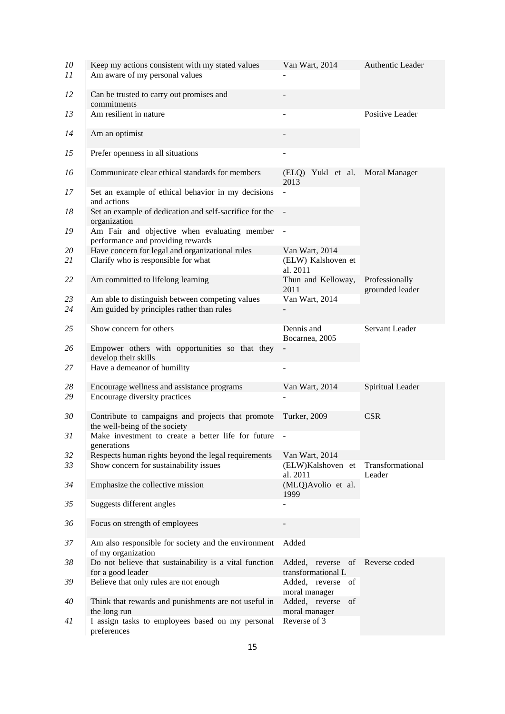| 10<br>11 | Keep my actions consistent with my stated values<br>Am aware of my personal values | Van Wart, 2014                          | Authentic Leader                  |
|----------|------------------------------------------------------------------------------------|-----------------------------------------|-----------------------------------|
| 12       | Can be trusted to carry out promises and<br>commitments                            |                                         |                                   |
| 13       | Am resilient in nature                                                             |                                         | Positive Leader                   |
| 14       | Am an optimist                                                                     |                                         |                                   |
| 15       | Prefer openness in all situations                                                  |                                         |                                   |
| 16       | Communicate clear ethical standards for members                                    | (ELQ) Yukl et al.<br>2013               | Moral Manager                     |
| 17       | Set an example of ethical behavior in my decisions<br>and actions                  |                                         |                                   |
| 18       | Set an example of dedication and self-sacrifice for the<br>organization            | $\equiv$                                |                                   |
| 19       | Am Fair and objective when evaluating member<br>performance and providing rewards  |                                         |                                   |
| 20       | Have concern for legal and organizational rules                                    | Van Wart, 2014                          |                                   |
| 21       | Clarify who is responsible for what                                                | (ELW) Kalshoven et<br>al. 2011          |                                   |
| 22       | Am committed to lifelong learning                                                  | Thun and Kelloway,<br>2011              | Professionally<br>grounded leader |
| 23       | Am able to distinguish between competing values                                    | Van Wart, 2014                          |                                   |
| 24       | Am guided by principles rather than rules                                          |                                         |                                   |
| 25       | Show concern for others                                                            | Dennis and<br>Bocarnea, 2005            | Servant Leader                    |
| 26       | Empower others with opportunities so that they<br>develop their skills             |                                         |                                   |
| 27       | Have a demeanor of humility                                                        |                                         |                                   |
| 28       | Encourage wellness and assistance programs                                         | Van Wart, 2014                          | Spiritual Leader                  |
| 29       | Encourage diversity practices                                                      |                                         |                                   |
| 30       | Contribute to campaigns and projects that promote<br>the well-being of the society | <b>Turker</b> , 2009                    | <b>CSR</b>                        |
| 31       | Make investment to create a better life for future<br>generations                  |                                         |                                   |
| 32       | Respects human rights beyond the legal requirements                                | Van Wart, 2014                          |                                   |
| 33       | Show concern for sustainability issues                                             | (ELW)Kalshoven et<br>al. 2011           | Transformational<br>Leader        |
| 34       | Emphasize the collective mission                                                   | (MLQ)Avolio et al.<br>1999              |                                   |
| 35       | Suggests different angles                                                          |                                         |                                   |
| 36       | Focus on strength of employees                                                     |                                         |                                   |
| 37       | Am also responsible for society and the environment<br>of my organization          | Added                                   |                                   |
| 38       | Do not believe that sustainability is a vital function                             | Added, reverse<br>of                    | Reverse coded                     |
| 39       | for a good leader<br>Believe that only rules are not enough                        | transformational L<br>Added, reverse of |                                   |
| 40       | Think that rewards and punishments are not useful in                               | moral manager<br>Added, reverse<br>of   |                                   |
| 41       | the long run<br>I assign tasks to employees based on my personal                   | moral manager<br>Reverse of 3           |                                   |
|          | preferences                                                                        |                                         |                                   |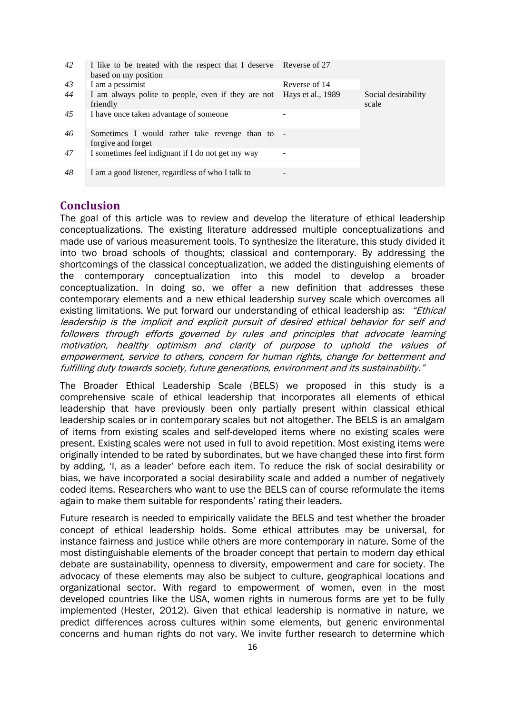| 42 | I like to be treated with the respect that I deserve Reverse of 27<br>based on my position |               |                              |
|----|--------------------------------------------------------------------------------------------|---------------|------------------------------|
| 43 | I am a pessimist                                                                           | Reverse of 14 |                              |
| 44 | I am always polite to people, even if they are not Hays et al., 1989<br>friendly           |               | Social desirability<br>scale |
| 45 | I have once taken advantage of someone                                                     |               |                              |
| 46 | Sometimes I would rather take revenge than to -<br>forgive and forget                      |               |                              |
| 47 | I sometimes feel indignant if I do not get my way                                          |               |                              |
| 48 | I am a good listener, regardless of who I talk to                                          |               |                              |

# **Conclusion**

The goal of this article was to review and develop the literature of ethical leadership conceptualizations. The existing literature addressed multiple conceptualizations and made use of various measurement tools. To synthesize the literature, this study divided it into two broad schools of thoughts; classical and contemporary. By addressing the shortcomings of the classical conceptualization, we added the distinguishing elements of the contemporary conceptualization into this model to develop a broader conceptualization. In doing so, we offer a new definition that addresses these contemporary elements and a new ethical leadership survey scale which overcomes all existing limitations. We put forward our understanding of ethical leadership as: "*Ethical* leadership is the implicit and explicit pursuit of desired ethical behavior for self and followers through efforts governed by rules and principles that advocate learning motivation, healthy optimism and clarity of purpose to uphold the values of empowerment, service to others, concern for human rights, change for betterment and fulfilling duty towards society, future generations, environment and its sustainability."

The Broader Ethical Leadership Scale (BELS) we proposed in this study is a comprehensive scale of ethical leadership that incorporates all elements of ethical leadership that have previously been only partially present within classical ethical leadership scales or in contemporary scales but not altogether. The BELS is an amalgam of items from existing scales and self-developed items where no existing scales were present. Existing scales were not used in full to avoid repetition. Most existing items were originally intended to be rated by subordinates, but we have changed these into first form by adding, 'I, as a leader' before each item. To reduce the risk of social desirability or bias, we have incorporated a social desirability scale and added a number of negatively coded items. Researchers who want to use the BELS can of course reformulate the items again to make them suitable for respondents' rating their leaders.

Future research is needed to empirically validate the BELS and test whether the broader concept of ethical leadership holds. Some ethical attributes may be universal, for instance fairness and justice while others are more contemporary in nature. Some of the most distinguishable elements of the broader concept that pertain to modern day ethical debate are sustainability, openness to diversity, empowerment and care for society. The advocacy of these elements may also be subject to culture, geographical locations and organizational sector. With regard to empowerment of women, even in the most developed countries like the USA, women rights in numerous forms are yet to be fully implemented (Hester, 2012). Given that ethical leadership is normative in nature, we predict differences across cultures within some elements, but generic environmental concerns and human rights do not vary. We invite further research to determine which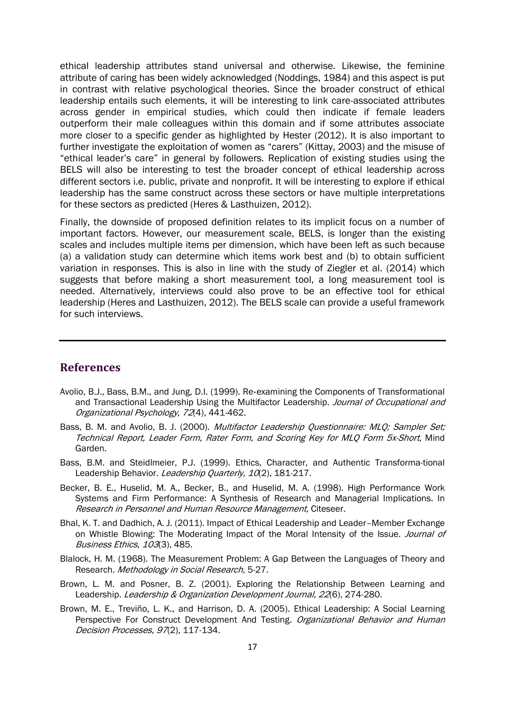ethical leadership attributes stand universal and otherwise. Likewise, the feminine attribute of caring has been widely acknowledged (Noddings, 1984) and this aspect is put in contrast with relative psychological theories. Since the broader construct of ethical leadership entails such elements, it will be interesting to link care-associated attributes across gender in empirical studies, which could then indicate if female leaders outperform their male colleagues within this domain and if some attributes associate more closer to a specific gender as highlighted by Hester (2012). It is also important to further investigate the exploitation of women as "carers" (Kittay, 2003) and the misuse of "ethical leader's care" in general by followers. Replication of existing studies using the BELS will also be interesting to test the broader concept of ethical leadership across different sectors i.e. public, private and nonprofit. It will be interesting to explore if ethical leadership has the same construct across these sectors or have multiple interpretations for these sectors as predicted (Heres & Lasthuizen, 2012).

Finally, the downside of proposed definition relates to its implicit focus on a number of important factors. However, our measurement scale, BELS, is longer than the existing scales and includes multiple items per dimension, which have been left as such because (a) a validation study can determine which items work best and (b) to obtain sufficient variation in responses. This is also in line with the study of Ziegler et al. (2014) which suggests that before making a short measurement tool, a long measurement tool is needed. Alternatively, interviews could also prove to be an effective tool for ethical leadership (Heres and Lasthuizen, 2012). The BELS scale can provide a useful framework for such interviews.

# **References**

- Avolio, B.J., Bass, B.M., and Jung, D.I. (1999). Re‐examining the Components of Transformational and Transactional Leadership Using the Multifactor Leadership. Journal of Occupational and Organizational Psychology, 72(4), 441-462.
- Bass, B. M. and Avolio, B. J. (2000). Multifactor Leadership Questionnaire: MLQ; Sampler Set; Technical Report, Leader Form, Rater Form, and Scoring Key for MLQ Form 5x-Short, Mind Garden.
- Bass, B.M. and Steidlmeier, P.J. (1999). Ethics, Character, and Authentic Transforma-tional Leadership Behavior. Leadership Quarterly, 10(2), 181-217.
- Becker, B. E., Huselid, M. A., Becker, B., and Huselid, M. A. (1998). High Performance Work Systems and Firm Performance: A Synthesis of Research and Managerial Implications. In Research in Personnel and Human Resource Management, Citeseer.
- Bhal, K. T. and Dadhich, A. J. (2011). Impact of Ethical Leadership and Leader–Member Exchange on Whistle Blowing: The Moderating Impact of the Moral Intensity of the Issue. Journal of Business Ethics, 103(3), 485.
- Blalock, H. M. (1968). The Measurement Problem: A Gap Between the Languages of Theory and Research. Methodology in Social Research, 5-27.
- Brown, L. M. and Posner, B. Z. (2001). Exploring the Relationship Between Learning and Leadership. Leadership & Organization Development Journal, 22(6), 274-280.
- Brown, M. E., Treviño, L. K., and Harrison, D. A. (2005). Ethical Leadership: A Social Learning Perspective For Construct Development And Testing. Organizational Behavior and Human Decision Processes, 97(2), 117-134.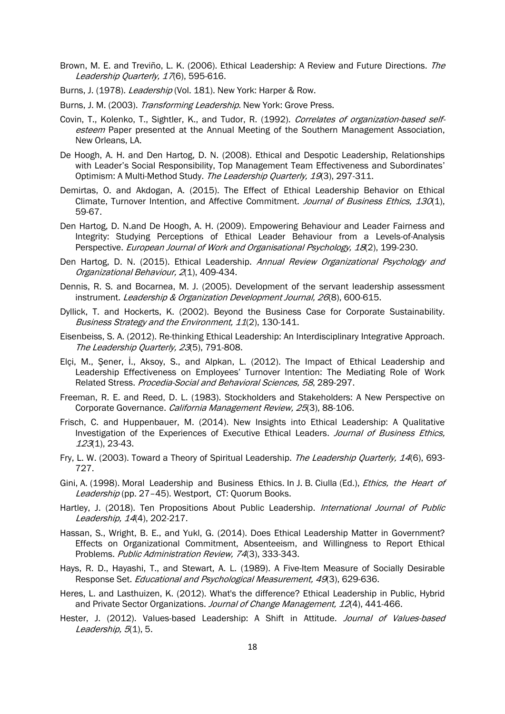- Brown, M. E. and Treviño, L. K. (2006). Ethical Leadership: A Review and Future Directions. The Leadership Quarterly, 17(6), 595-616.
- Burns, J. (1978). *Leadership* (Vol. 181). New York: Harper & Row.
- Burns, J. M. (2003). Transforming Leadership. New York: Grove Press.
- Covin, T., Kolenko, T., Sightler, K., and Tudor, R. (1992). Correlates of organization-based selfesteem Paper presented at the Annual Meeting of the Southern Management Association, New Orleans, LA.
- De Hoogh, A. H. and Den Hartog, D. N. (2008). Ethical and Despotic Leadership, Relationships with Leader's Social Responsibility, Top Management Team Effectiveness and Subordinates' Optimism: A Multi-Method Study. The Leadership Ouarterly, 19(3), 297-311.
- Demirtas, O. and Akdogan, A. (2015). The Effect of Ethical Leadership Behavior on Ethical Climate, Turnover Intention, and Affective Commitment, Journal of Business Ethics, 130(1), 59-67.
- Den Hartog, D. N.and De Hoogh, A. H. (2009). Empowering Behaviour and Leader Fairness and Integrity: Studying Perceptions of Ethical Leader Behaviour from a Levels-of-Analysis Perspective. European Journal of Work and Organisational Psychology, 18(2), 199-230.
- Den Hartog, D. N. (2015). Ethical Leadership. Annual Review Organizational Psychology and Organizational Behaviour, 2(1), 409-434.
- Dennis, R. S. and Bocarnea, M. J. (2005). Development of the servant leadership assessment instrument. Leadership & Organization Development Journal, 26(8), 600-615.
- Dyllick, T. and Hockerts, K. (2002). Beyond the Business Case for Corporate Sustainability. Business Strategy and the Environment, 11(2), 130-141.
- Eisenbeiss, S. A. (2012). Re-thinking Ethical Leadership: An Interdisciplinary Integrative Approach. The Leadership Quarterly, 23(5), 791-808.
- Elçi, M., Şener, İ., Aksoy, S., and Alpkan, L. (2012). The Impact of Ethical Leadership and Leadership Effectiveness on Employees' Turnover Intention: The Mediating Role of Work Related Stress. Procedia-Social and Behavioral Sciences, 58, 289-297.
- Freeman, R. E. and Reed, D. L. (1983). Stockholders and Stakeholders: A New Perspective on Corporate Governance. California Management Review, 25(3), 88-106.
- Frisch, C. and Huppenbauer, M. (2014). New Insights into Ethical Leadership: A Qualitative Investigation of the Experiences of Executive Ethical Leaders. Journal of Business Ethics, <sup>123</sup>(1), 23-43.
- Fry, L. W. (2003). Toward a Theory of Spiritual Leadership. The Leadership Quarterly, 14(6), 693-727.
- Gini, A. (1998). Moral Leadership and Business Ethics. In J. B. Ciulla (Ed.), *Ethics, the Heart of* Leadership (pp. 27-45). Westport, CT: Quorum Books.
- Hartley, J. (2018). Ten Propositions About Public Leadership. International Journal of Public Leadership, 14(4), 202-217.
- Hassan, S., Wright, B. E., and Yukl, G. (2014). Does Ethical Leadership Matter in Government? Effects on Organizational Commitment, Absenteeism, and Willingness to Report Ethical Problems. Public Administration Review, 74(3), 333-343.
- Hays, R. D., Hayashi, T., and Stewart, A. L. (1989). A Five-Item Measure of Socially Desirable Response Set. Educational and Psychological Measurement, 49(3), 629-636.
- Heres, L. and Lasthuizen, K. (2012). What's the difference? Ethical Leadership in Public, Hybrid and Private Sector Organizations. Journal of Change Management, 12(4), 441-466.
- Hester, J. (2012). Values-based Leadership: A Shift in Attitude. Journal of Values-based Leadership, 5(1), 5.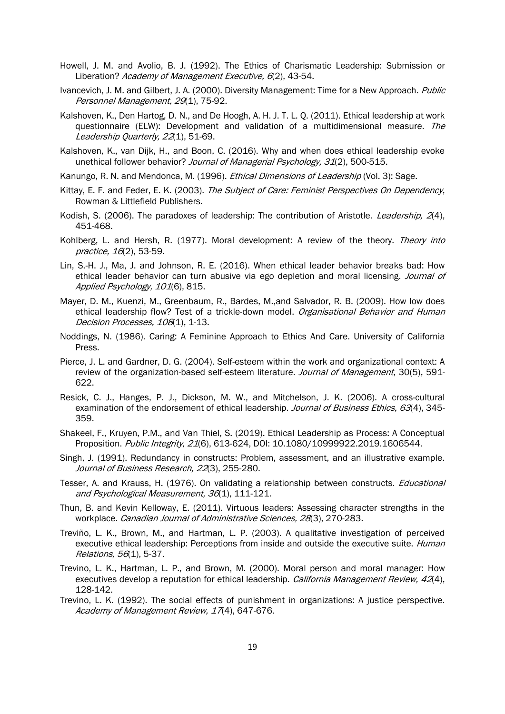- Howell, J. M. and Avolio, B. J. (1992). The Ethics of Charismatic Leadership: Submission or Liberation? Academy of Management Executive, 6(2), 43-54.
- Ivancevich, J. M. and Gilbert, J. A. (2000). Diversity Management: Time for a New Approach. Public Personnel Management, 29(1), 75-92.
- Kalshoven, K., Den Hartog, D. N., and De Hoogh, A. H. J. T. L. Q. (2011). Ethical leadership at work questionnaire (ELW): Development and validation of a multidimensional measure. The Leadership Quarterly, 22(1), 51-69.
- Kalshoven, K., van Dijk, H., and Boon, C. (2016). Why and when does ethical leadership evoke unethical follower behavior? Journal of Managerial Psychology, 31(2), 500-515.
- Kanungo, R. N. and Mendonca, M. (1996). *Ethical Dimensions of Leadership* (Vol. 3): Sage.
- Kittay, E. F. and Feder, E. K. (2003). The Subject of Care: Feminist Perspectives On Dependency, Rowman & Littlefield Publishers.
- Kodish, S. (2006). The paradoxes of leadership: The contribution of Aristotle. Leadership, 2(4), 451-468.
- Kohlberg, L. and Hersh, R. (1977). Moral development: A review of the theory. *Theory into* practice, 16(2), 53-59.
- Lin, S.-H. J., Ma, J. and Johnson, R. E. (2016). When ethical leader behavior breaks bad: How ethical leader behavior can turn abusive via ego depletion and moral licensing. Journal of Applied Psychology, 101(6), 815.
- Mayer, D. M., Kuenzi, M., Greenbaum, R., Bardes, M.,and Salvador, R. B. (2009). How low does ethical leadership flow? Test of a trickle-down model. Organisational Behavior and Human Decision Processes, 108(1), 1-13.
- Noddings, N. (1986). Caring: A Feminine Approach to Ethics And Care. University of California Press.
- Pierce, J. L. and Gardner, D. G. (2004). Self-esteem within the work and organizational context: A review of the organization-based self-esteem literature. Journal of Management, 30(5), 591-622.
- Resick, C. J., Hanges, P. J., Dickson, M. W., and Mitchelson, J. K. (2006). A cross-cultural examination of the endorsement of ethical leadership. Journal of Business Ethics, 63(4), 345-359.
- Shakeel, F., Kruyen, P.M., and Van Thiel, S. (2019). Ethical Leadership as Process: A Conceptual Proposition. Public Integrity, 21(6), 613-624, DOI: 10.1080/10999922.2019.1606544.
- Singh, J. (1991). Redundancy in constructs: Problem, assessment, and an illustrative example. Journal of Business Research, 22(3), 255-280.
- Tesser, A. and Krauss, H. (1976). On validating a relationship between constructs. Educational and Psychological Measurement, 36(1), 111-121.
- Thun, B. and Kevin Kelloway, E. (2011). Virtuous leaders: Assessing character strengths in the workplace. *Canadian Journal of Administrative Sciences, 28*(3), 270-283.
- Treviño, L. K., Brown, M., and Hartman, L. P. (2003). A qualitative investigation of perceived executive ethical leadership: Perceptions from inside and outside the executive suite. Human Relations, 56(1), 5-37.
- Trevino, L. K., Hartman, L. P., and Brown, M. (2000). Moral person and moral manager: How executives develop a reputation for ethical leadership. California Management Review, 42(4), 128-142.
- Trevino, L. K. (1992). The social effects of punishment in organizations: A justice perspective. Academy of Management Review, 17(4), 647-676.